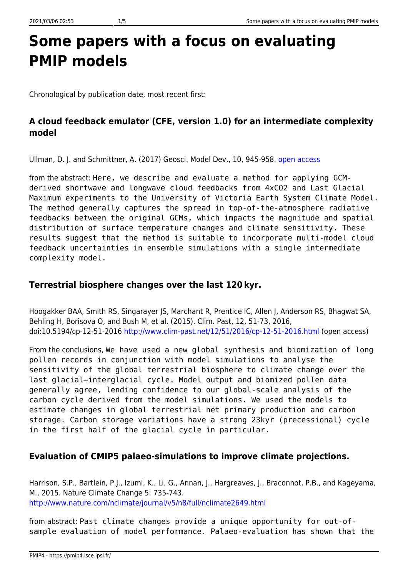# **Some papers with a focus on evaluating PMIP models**

Chronological by publication date, most recent first:

# **A cloud feedback emulator (CFE, version 1.0) for an intermediate complexity model**

Ullman, D. J. and Schmittner, A. (2017) Geosci. Model Dev., 10, 945-958. [open access](https://doi.org/10.5194/gmd-10-945-2017)

from the abstract: Here, we describe and evaluate a method for applying GCMderived shortwave and longwave cloud feedbacks from 4xCO2 and Last Glacial Maximum experiments to the University of Victoria Earth System Climate Model. The method generally captures the spread in top-of-the-atmosphere radiative feedbacks between the original GCMs, which impacts the magnitude and spatial distribution of surface temperature changes and climate sensitivity. These results suggest that the method is suitable to incorporate multi-model cloud feedback uncertainties in ensemble simulations with a single intermediate complexity model.

## **Terrestrial biosphere changes over the last 120 kyr.**

Hoogakker BAA, Smith RS, Singarayer JS, Marchant R, Prentice IC, Allen J, Anderson RS, Bhagwat SA, Behling H, Borisova O, and Bush M, et al. (2015). Clim. Past, 12, 51-73, 2016, doi:10.5194/cp-12-51-2016<http://www.clim-past.net/12/51/2016/cp-12-51-2016.html>(open access)

From the conclusions, We have used a new global synthesis and biomization of long pollen records in conjunction with model simulations to analyse the sensitivity of the global terrestrial biosphere to climate change over the last glacial–interglacial cycle. Model output and biomized pollen data generally agree, lending confidence to our global-scale analysis of the carbon cycle derived from the model simulations. We used the models to estimate changes in global terrestrial net primary production and carbon storage. Carbon storage variations have a strong 23kyr (precessional) cycle in the first half of the glacial cycle in particular.

# **Evaluation of CMIP5 palaeo-simulations to improve climate projections.**

Harrison, S.P., Bartlein, P.J., Izumi, K., Li, G., Annan, J., Hargreaves, J., Braconnot, P.B., and Kageyama, M., 2015. Nature Climate Change 5: 735-743. <http://www.nature.com/nclimate/journal/v5/n8/full/nclimate2649.html>

from abstract: Past climate changes provide a unique opportunity for out-ofsample evaluation of model performance. Palaeo-evaluation has shown that the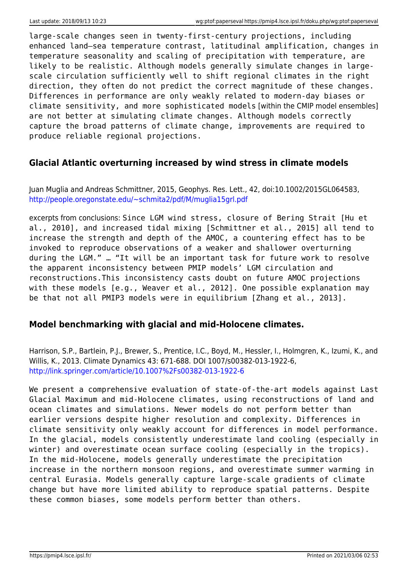large-scale changes seen in twenty-first-century projections, including enhanced land–sea temperature contrast, latitudinal amplification, changes in temperature seasonality and scaling of precipitation with temperature, are likely to be realistic. Although models generally simulate changes in largescale circulation sufficiently well to shift regional climates in the right direction, they often do not predict the correct magnitude of these changes. Differences in performance are only weakly related to modern-day biases or climate sensitivity, and more sophisticated models [within the CMIP model ensembles] are not better at simulating climate changes. Although models correctly capture the broad patterns of climate change, improvements are required to produce reliable regional projections.

#### **Glacial Atlantic overturning increased by wind stress in climate models**

Juan Muglia and Andreas Schmittner, 2015, Geophys. Res. Lett., 42, doi:10.1002/2015GL064583, <http://people.oregonstate.edu/~schmita2/pdf/M/muglia15grl.pdf>

excerpts from conclusions: Since LGM wind stress, closure of Bering Strait [Hu et al., 2010], and increased tidal mixing [Schmittner et al., 2015] all tend to increase the strength and depth of the AMOC, a countering effect has to be invoked to reproduce observations of a weaker and shallower overturning during the LGM." … "It will be an important task for future work to resolve the apparent inconsistency between PMIP models' LGM circulation and reconstructions.This inconsistency casts doubt on future AMOC projections with these models [e.g., Weaver et al., 2012]. One possible explanation may be that not all PMIP3 models were in equilibrium [Zhang et al., 2013].

#### **Model benchmarking with glacial and mid-Holocene climates.**

Harrison, S.P., Bartlein, P.J., Brewer, S., Prentice, I.C., Boyd, M., Hessler, I., Holmgren, K., Izumi, K., and Willis, K., 2013. Climate Dynamics 43: 671-688. DOI 1007/s00382-013-1922-6, <http://link.springer.com/article/10.1007%2Fs00382-013-1922-6>

We present a comprehensive evaluation of state-of-the-art models against Last Glacial Maximum and mid-Holocene climates, using reconstructions of land and ocean climates and simulations. Newer models do not perform better than earlier versions despite higher resolution and complexity. Differences in climate sensitivity only weakly account for differences in model performance. In the glacial, models consistently underestimate land cooling (especially in winter) and overestimate ocean surface cooling (especially in the tropics). In the mid-Holocene, models generally underestimate the precipitation increase in the northern monsoon regions, and overestimate summer warming in central Eurasia. Models generally capture large-scale gradients of climate change but have more limited ability to reproduce spatial patterns. Despite these common biases, some models perform better than others.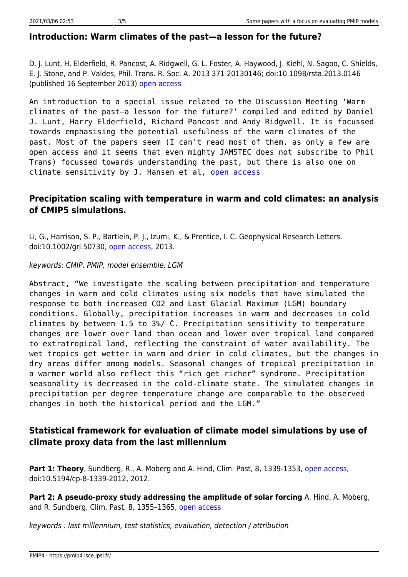#### **Introduction: Warm climates of the past—a lesson for the future?**

D. J. Lunt, H. Elderfield, R. Pancost, A. Ridgwell, G. L. Foster, A. Haywood, J. Kiehl, N. Sagoo, C. Shields, E. J. Stone, and P. Valdes, Phil. Trans. R. Soc. A. 2013 371 20130146; doi:10.1098/rsta.2013.0146 (published 16 September 2013) [open access](http://rsta.royalsocietypublishing.org/content/371/2001/20130146.full.pdf+html)

An introduction to a special issue related to the Discussion Meeting 'Warm climates of the past—a lesson for the future?' compiled and edited by Daniel J. Lunt, Harry Elderfield, Richard Pancost and Andy Ridgwell. It is focussed towards emphasising the potential usefulness of the warm climates of the past. Most of the papers seem (I can't read most of them, as only a few are open access and it seems that even mighty JAMSTEC does not subscribe to Phil Trans) focussed towards understanding the past, but there is also one on climate sensitivity by J. Hansen et al, [open access](http://rsta.royalsocietypublishing.org/content/371/2001/20120294.full.pdf+html)

## **Precipitation scaling with temperature in warm and cold climates: an analysis of CMIP5 simulations.**

Li, G., Harrison, S. P., Bartlein, P. J., Izumi, K., & Prentice, I. C. Geophysical Research Letters. doi:10.1002/grl.50730, [open access](http://onlinelibrary.wiley.com/doi/10.1002/grl.50730/full), 2013.

#### keywords: CMIP, PMIP, model ensemble, LGM

Abstract, "We investigate the scaling between precipitation and temperature changes in warm and cold climates using six models that have simulated the response to both increased CO2 and Last Glacial Maximum (LGM) boundary conditions. Globally, precipitation increases in warm and decreases in cold climates by between 1.5 to 3%/ ̊C. Precipitation sensitivity to temperature changes are lower over land than ocean and lower over tropical land compared to extratropical land, reflecting the constraint of water availability. The wet tropics get wetter in warm and drier in cold climates, but the changes in dry areas differ among models. Seasonal changes of tropical precipitation in a warmer world also reflect this "rich get richer" syndrome. Precipitation seasonality is decreased in the cold-climate state. The simulated changes in precipitation per degree temperature change are comparable to the observed changes in both the historical period and the LGM."

## **Statistical framework for evaluation of climate model simulations by use of climate proxy data from the last millennium**

**Part 1: Theory**, Sundberg, R., A. Moberg and A. Hind, Clim. Past, 8, 1339-1353, [open access](http://www.clim-past.net/8/1355/2012/cp-8-1355-2012.html), doi:10.5194/cp-8-1339-2012, 2012.

**Part 2: A pseudo-proxy study addressing the amplitude of solar forcing** A. Hind, A. Moberg, and R. Sundberg, Clim. Past, 8, 1355–1365, [open access](http://www.clim-past.net/8/1355/2012/, doi:10.5194/cp-8-1355-2012, 2012)

keywords : last millennium, test statistics, evaluation, detection / attribution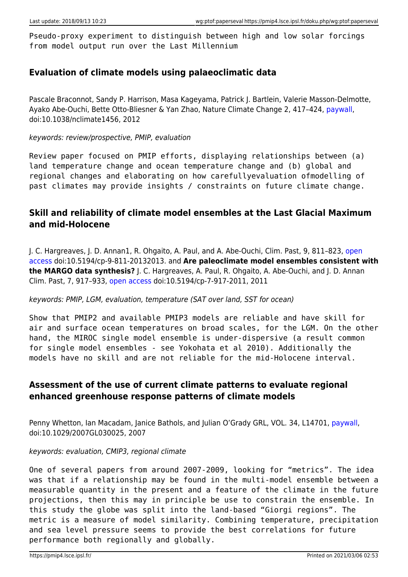Pseudo-proxy experiment to distinguish between high and low solar forcings from model output run over the Last Millennium

### **Evaluation of climate models using palaeoclimatic data**

Pascale Braconnot, Sandy P. Harrison, Masa Kageyama, Patrick J. Bartlein, Valerie Masson-Delmotte, Ayako Abe-Ouchi, Bette Otto-Bliesner & Yan Zhao, Nature Climate Change 2, 417–424, [paywall](http://www.nature.com/nclimate/journal/v2/n6/full/nclimate1456.html), doi:10.1038/nclimate1456, 2012

#### keywords: review/prospective, PMIP, evaluation

Review paper focused on PMIP efforts, displaying relationships between (a) land temperature change and ocean temperature change and (b) global and regional changes and elaborating on how carefullyevaluation ofmodelling of past climates may provide insights / constraints on future climate change.

## **Skill and reliability of climate model ensembles at the Last Glacial Maximum and mid-Holocene**

J. C. Hargreaves, J. D. Annan1, R. Ohgaito, A. Paul, and A. Abe-Ouchi, Clim. Past, 9, 811–823, [open](http://www.clim-past.net/9/811/2013/) [access](http://www.clim-past.net/9/811/2013/) doi:10.5194/cp-9-811-20132013. and **Are paleoclimate model ensembles consistent with the MARGO data synthesis?** J. C. Hargreaves, A. Paul, R. Ohgaito, A. Abe-Ouchi, and J. D. Annan Clim. Past, 7, 917–933, [open access](http://www.clim-past.net/7/917/2011/) doi:10.5194/cp-7-917-2011, 2011

#### keywords: PMIP, LGM, evaluation, temperature (SAT over land, SST for ocean)

Show that PMIP2 and available PMIP3 models are reliable and have skill for air and surface ocean temperatures on broad scales, for the LGM. On the other hand, the MIROC single model ensemble is under-dispersive (a result common for single model ensembles - see Yokohata et al 2010). Additionally the models have no skill and are not reliable for the mid-Holocene interval.

## **Assessment of the use of current climate patterns to evaluate regional enhanced greenhouse response patterns of climate models**

Penny Whetton, Ian Macadam, Janice Bathols, and Julian O'Grady GRL, VOL. 34, L14701, [paywall,](http://onlinelibrary.wiley.com/doi/10.1029/2007GL030025/abstract) doi:10.1029/2007GL030025, 2007

#### keywords: evaluation, CMIP3, regional climate

One of several papers from around 2007-2009, looking for "metrics". The idea was that if a relationship may be found in the multi-model ensemble between a measurable quantity in the present and a feature of the climate in the future projections, then this may in principle be use to constrain the ensemble. In this study the globe was split into the land-based "Giorgi regions". The metric is a measure of model similarity. Combining temperature, precipitation and sea level pressure seems to provide the best correlations for future performance both regionally and globally.